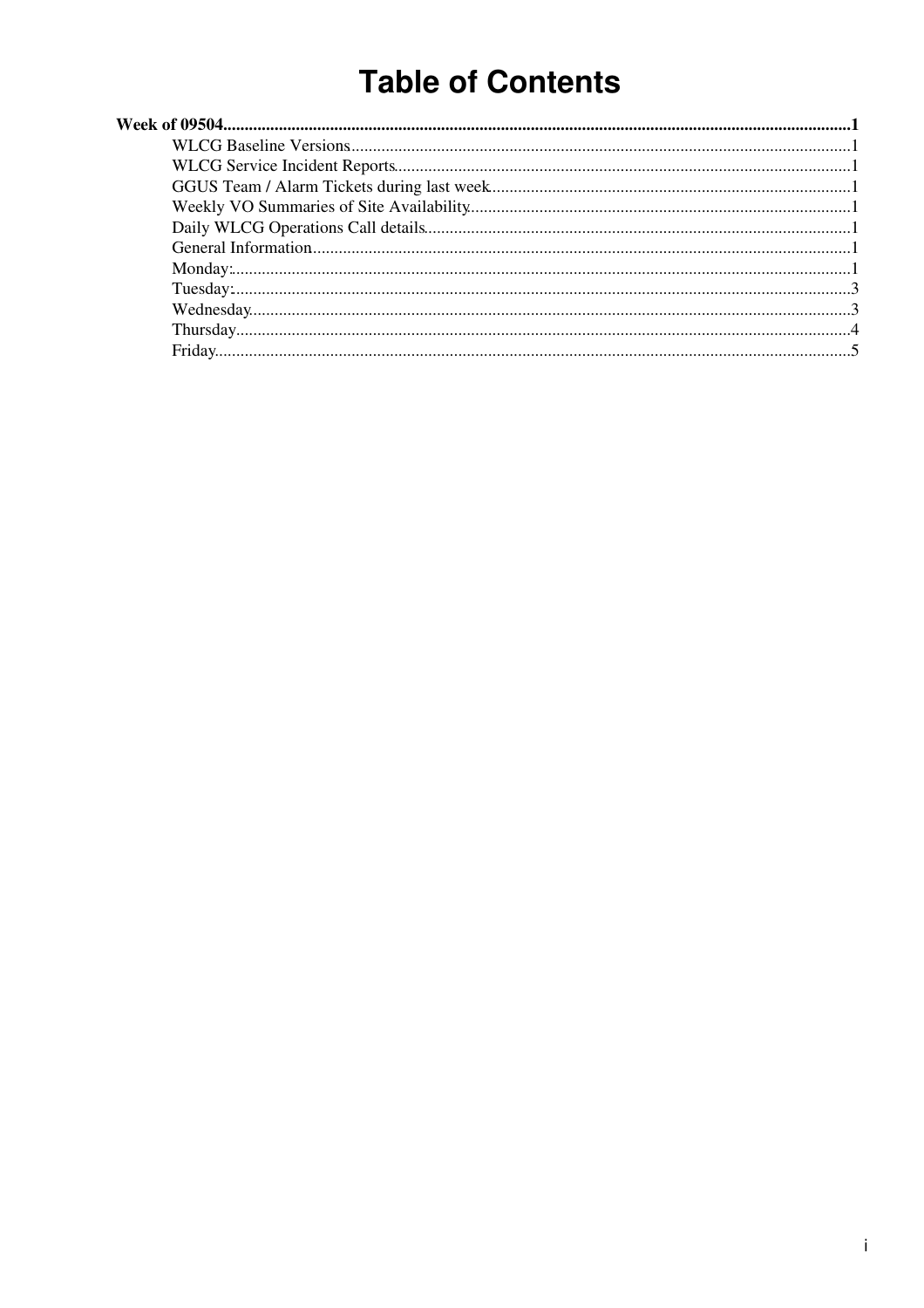# **Table of Contents**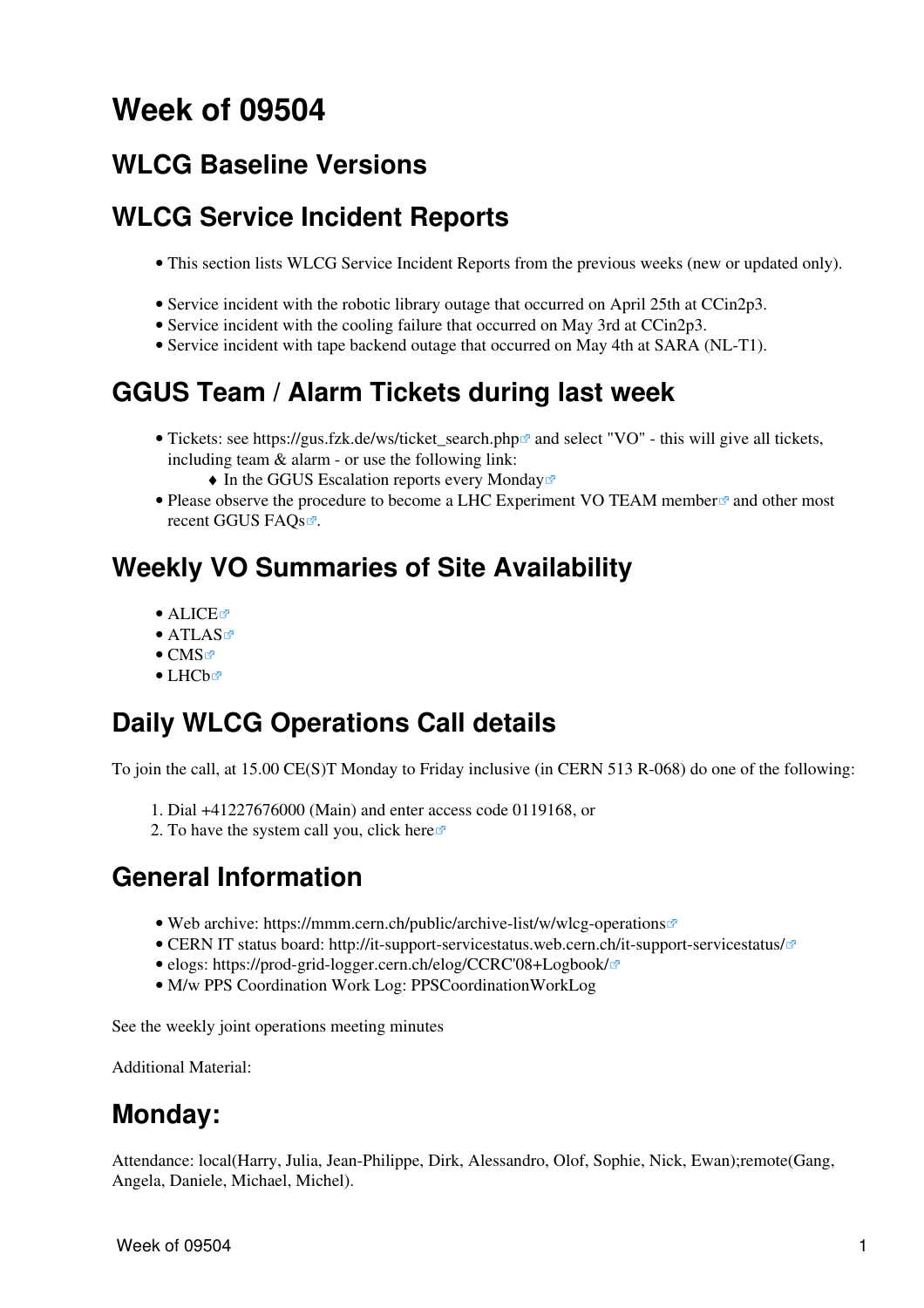## <span id="page-1-0"></span>**Week of 09504**

#### <span id="page-1-1"></span>**[WLCG Baseline Versions](https://twiki.cern.ch/twiki/bin/view/LCG/WLCGBaselineVersions)**

### <span id="page-1-2"></span>**WLCG Service Incident Reports**

- This section lists [WLCG Service Incident Reports](https://twiki.cern.ch/twiki/bin/view/LCG/WLCGServiceIncidents) from the previous weeks (new or updated only).
- Service incident with the robotic library outage that occurred on April 25th at CCin2p3.
- Service incident with the cooling failure that occurred on May 3rd at CCin2p3.
- Service incident with tape backend outage that occurred on May 4th at SARA (NL-T1).

#### <span id="page-1-3"></span>**GGUS Team / Alarm Tickets during last week**

- Tickets: see https://gus.fzk.de/ws/ticket\_search.php<sup>{{}}</sup> and select "VO" this will give all tickets, including team & alarm - or use the following link:
	- $\triangle$  [In the GGUS Escalation reports every Monday](https://gus.fzk.de/pages/metrics/download_escalation_reports_wlcg.php)<sup>®</sup>
- Please observe [the procedure to become a LHC Experiment VO TEAM member](https://gus.fzk.de/pages/ggus-docs/documentation/pdf/1541_FAQ_for_team_member_registration.pdf)<sup>®</sup> and other most recent GGUS FAOs<sup>®</sup>.

#### <span id="page-1-4"></span>**Weekly VO Summaries of Site Availability**

- [ALICE](http://dashb-alice-sam.cern.ch/dashboard/request.py/historicalsiteavailability?mode=siteavl&siteSelect3=101&sites=CERN-PROD&sites=FZK-LCG2&sites=IN2P3-CC&sites=INFN-T1&sites=NDGF-T1&sites=NIKHEF-ELPROD&sites=RAL-LCG2&sites=SARA-MATRIX&algoId=6&timeRange=lastWeek)E
- [ATLAS](http://dashb-atlas-sam.cern.ch/dashboard/request.py/historicalsiteavailability?mode=siteavl&siteSelect3=403&sites=CERN-PROD&sites=FZK-LCG2&sites=IN2P3-CC&sites=INFN-CNAF&sites=NDGF-T1&sites=NIKHEF-ELPROD&sites=RAL-LCG2&sites=SARA-MATRIX&sites=TRIUMF-LCG2&sites=Taiwan-LCG2&sites=pic&algoId=21&timeRange=lastWeek)
- $\bullet$  [CMS](http://dashb-cms-sam.cern.ch/dashboard/request.py/historicalsiteavailability?siteSelect3=T1T0&sites=T0_CH_CERN&sites=T1_DE_FZK&sites=T1_ES_PIC&sites=T1_FR_CCIN2P3&sites=T1_IT_CNAF&sites=T1_TW_ASGC&sites=T1_UK_RAL&sites=T1_US_FNAL&timeRange=lastWeek) $\vec{z}$
- $\bullet$  LHCh $\blacksquare$

#### <span id="page-1-5"></span>**Daily WLCG Operations Call details**

To join the call, at 15.00 CE(S)T Monday to Friday inclusive (in CERN 513 R-068) do one of the following:

- 1. Dial +41227676000 (Main) and enter access code 0119168, or
- 2. To have the system call you, click [here](https://audioconf.cern.ch/call/0119168) $\mathbb{Z}$

#### <span id="page-1-6"></span>**General Information**

- Web archive: <https://mmm.cern.ch/public/archive-list/w/wlcg-operations>
- CERN IT status board: <http://it-support-servicestatus.web.cern.ch/it-support-servicestatus/>
- elogs: [https://prod-grid-logger.cern.ch/elog/CCRC'08+Logbook/](https://prod-grid-logger.cern.ch/elog/CCRC)@
- M/w PPS Coordination Work Log: [PPSCoordinationWorkLog](https://twiki.cern.ch/twiki/bin/view/LCG/PPSCoordinationWorkLog)

See the [weekly joint operations meeting minutes](https://twiki.cern.ch/twiki/bin/view/EGEE/WlcgOsgEgeeOpsMeetingMinutes)

Additional Material:

### <span id="page-1-7"></span>**Monday:**

Attendance: local(Harry, Julia, Jean-Philippe, Dirk, Alessandro, Olof, Sophie, Nick, Ewan);remote(Gang, Angela, Daniele, Michael, Michel).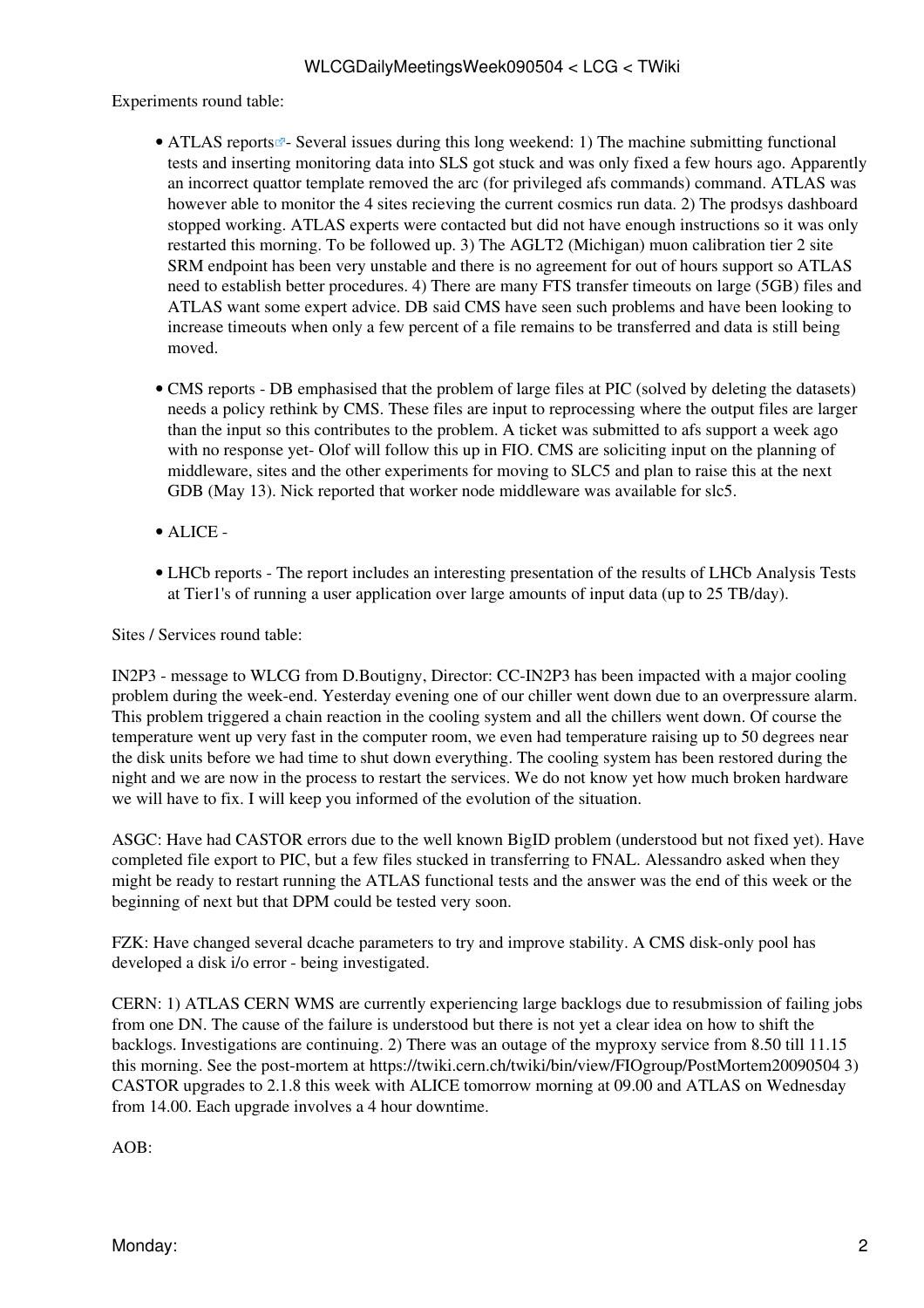Experiments round table:

- ATLAS [reports](http://lhcweb01.pic.es/atlas/Shift_Summaries/reports/?C=N;O=D)<sup>2</sup> Several issues during this long weekend: 1) The machine submitting functional tests and inserting monitoring data into SLS got stuck and was only fixed a few hours ago. Apparently an incorrect quattor template removed the arc (for privileged afs commands) command. ATLAS was however able to monitor the 4 sites recieving the current cosmics run data. 2) The prodsys dashboard stopped working. ATLAS experts were contacted but did not have enough instructions so it was only restarted this morning. To be followed up. 3) The AGLT2 (Michigan) muon calibration tier 2 site SRM endpoint has been very unstable and there is no agreement for out of hours support so ATLAS need to establish better procedures. 4) There are many FTS transfer timeouts on large (5GB) files and ATLAS want some expert advice. DB said CMS have seen such problems and have been looking to increase timeouts when only a few percent of a file remains to be transferred and data is still being moved.
- CMS [reports](https://twiki.cern.ch/twiki/bin/view/CMS/FacOps_WLCGdailyreports) DB emphasised that the problem of large files at PIC (solved by deleting the datasets) needs a policy rethink by CMS. These files are input to reprocessing where the output files are larger than the input so this contributes to the problem. A ticket was submitted to afs support a week ago with no response yet- Olof will follow this up in FIO. CMS are soliciting input on the planning of middleware, sites and the other experiments for moving to SLC5 and plan to raise this at the next GDB (May 13). Nick reported that worker node middleware was available for slc5.
- ALICE -
- LHCb [reports](https://twiki.cern.ch/twiki/bin/view/LHCb/ProductionOperationsWLCGdailyReports)  The report includes an interesting presentation of the results of LHCb Analysis Tests at Tier1's of running a user application over large amounts of input data (up to 25 TB/day).

Sites / Services round table:

[IN2P3](https://twiki.cern.ch/twiki/bin/view/LCG/IN2P3) - message to WLCG from D.Boutigny, Director: CC-IN2P3 has been impacted with a major cooling problem during the week-end. Yesterday evening one of our chiller went down due to an overpressure alarm. This problem triggered a chain reaction in the cooling system and all the chillers went down. Of course the temperature went up very fast in the computer room, we even had temperature raising up to 50 degrees near the disk units before we had time to shut down everything. The cooling system has been restored during the night and we are now in the process to restart the services. We do not know yet how much broken hardware we will have to fix. I will keep you informed of the evolution of the situation.

ASGC: Have had CASTOR errors due to the well known [BigID](https://twiki.cern.ch/twiki/bin/edit/LCG/BigID?topicparent=LCG.WLCGDailyMeetingsWeek090504;nowysiwyg=1) problem (understood but not fixed yet). Have completed file export to PIC, but a few files stucked in transferring to FNAL. Alessandro asked when they might be ready to restart running the ATLAS functional tests and the answer was the end of this week or the beginning of next but that DPM could be tested very soon.

FZK: Have changed several dcache parameters to try and improve stability. A CMS disk-only pool has developed a disk i/o error - being investigated.

CERN: 1) ATLAS CERN WMS are currently experiencing large backlogs due to resubmission of failing jobs from one DN. The cause of the failure is understood but there is not yet a clear idea on how to shift the backlogs. Investigations are continuing. 2) There was an outage of the myproxy service from 8.50 till 11.15 this morning. See the post-mortem at <https://twiki.cern.ch/twiki/bin/view/FIOgroup/PostMortem20090504> 3) CASTOR upgrades to 2.1.8 this week with ALICE tomorrow morning at 09.00 and ATLAS on Wednesday from 14.00. Each upgrade involves a 4 hour downtime.

AOB: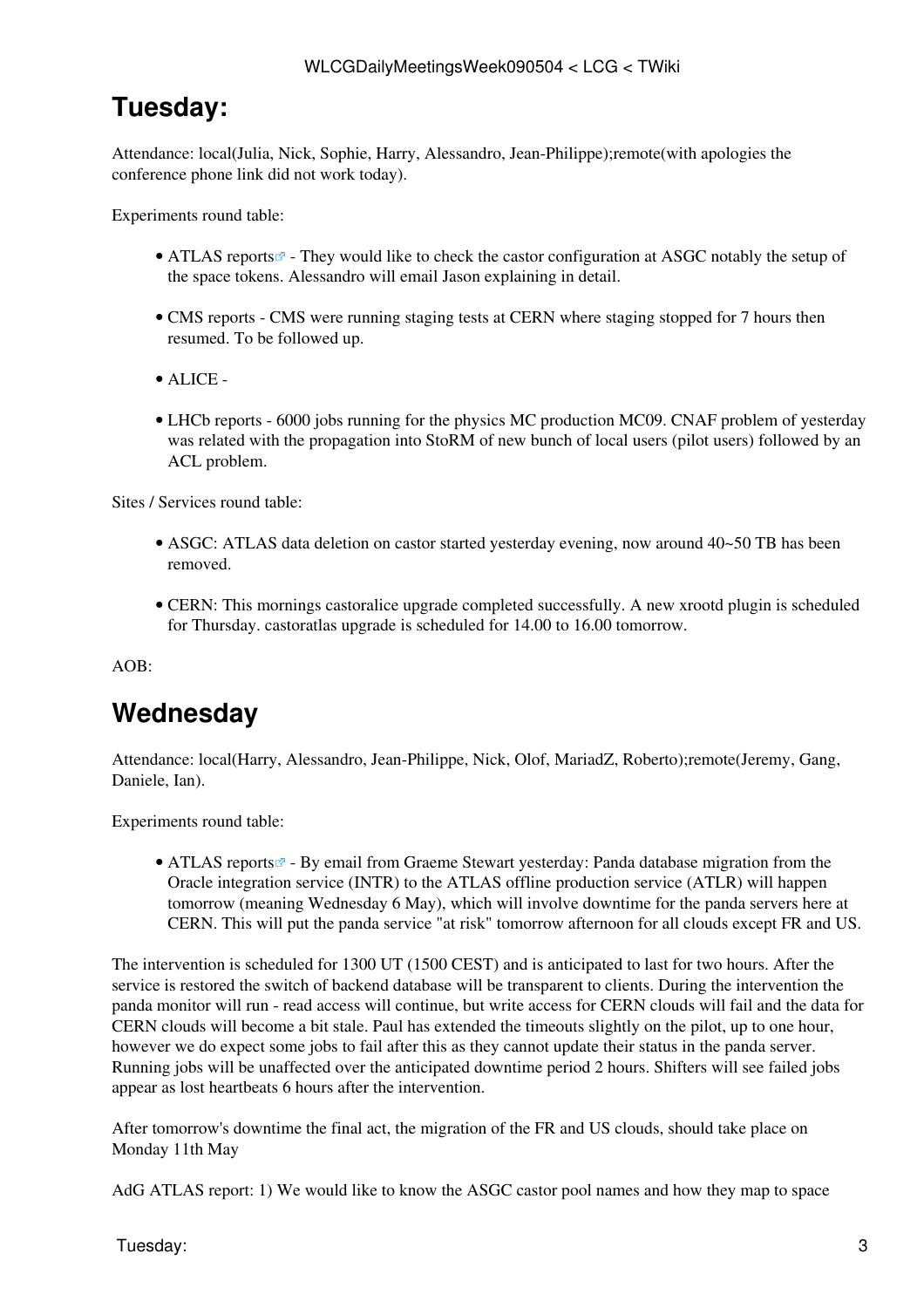### <span id="page-3-0"></span>**Tuesday:**

Attendance: local(Julia, Nick, Sophie, Harry, Alessandro, Jean-Philippe);remote(with apologies the conference phone link did not work today).

Experiments round table:

- ATLAS [reports](http://lhcweb01.pic.es/atlas/Shift_Summaries/reports/?C=N;O=D)<sup>®</sup> They would like to check the castor configuration at ASGC notably the setup of the space tokens. Alessandro will email Jason explaining in detail.
- CMS [reports](https://twiki.cern.ch/twiki/bin/view/CMS/FacOps_WLCGdailyreports) CMS were running staging tests at CERN where staging stopped for 7 hours then resumed. To be followed up.
- $\bullet$  ALICE -
- LHCb [reports](https://twiki.cern.ch/twiki/bin/view/LHCb/ProductionOperationsWLCGdailyReports)  6000 jobs running for the physics MC production MC09. CNAF problem of yesterday was related with the propagation into [StoRM](https://twiki.cern.ch/twiki/bin/view/LCG/StoRM) of new bunch of local users (pilot users) followed by an ACL problem.

Sites / Services round table:

- ASGC: ATLAS data deletion on castor started yesterday evening, now around 40~50 TB has been removed.
- CERN: This mornings castoralice upgrade completed successfully. A new xrootd plugin is scheduled for Thursday. castoratlas upgrade is scheduled for 14.00 to 16.00 tomorrow.

AOB:

### <span id="page-3-1"></span>**Wednesday**

Attendance: local(Harry, Alessandro, Jean-Philippe, Nick, Olof, [MariadZ,](https://twiki.cern.ch/twiki/bin/edit/LCG/MariadZ?topicparent=LCG.WLCGDailyMeetingsWeek090504;nowysiwyg=1) Roberto);remote(Jeremy, Gang, Daniele, Ian).

Experiments round table:

• ATLAS [reports](http://lhcweb01.pic.es/atlas/Shift_Summaries/reports/?C=N;O=D)<sup>®</sup> - By email from Graeme Stewart yesterday: Panda database migration from the Oracle integration service (INTR) to the ATLAS offline production service (ATLR) will happen tomorrow (meaning Wednesday 6 May), which will involve downtime for the panda servers here at CERN. This will put the panda service "at risk" tomorrow afternoon for all clouds except FR and US.

The intervention is scheduled for 1300 UT (1500 CEST) and is anticipated to last for two hours. After the service is restored the switch of backend database will be transparent to clients. During the intervention the panda monitor will run - read access will continue, but write access for CERN clouds will fail and the data for CERN clouds will become a bit stale. Paul has extended the timeouts slightly on the pilot, up to one hour, however we do expect some jobs to fail after this as they cannot update their status in the panda server. Running jobs will be unaffected over the anticipated downtime period 2 hours. Shifters will see failed jobs appear as lost heartbeats 6 hours after the intervention.

After tomorrow's downtime the final act, the migration of the FR and US clouds, should take place on Monday 11th May

[AdG](https://twiki.cern.ch/twiki/bin/edit/LCG/AdG?topicparent=LCG.WLCGDailyMeetingsWeek090504;nowysiwyg=1) ATLAS report: 1) We would like to know the ASGC castor pool names and how they map to space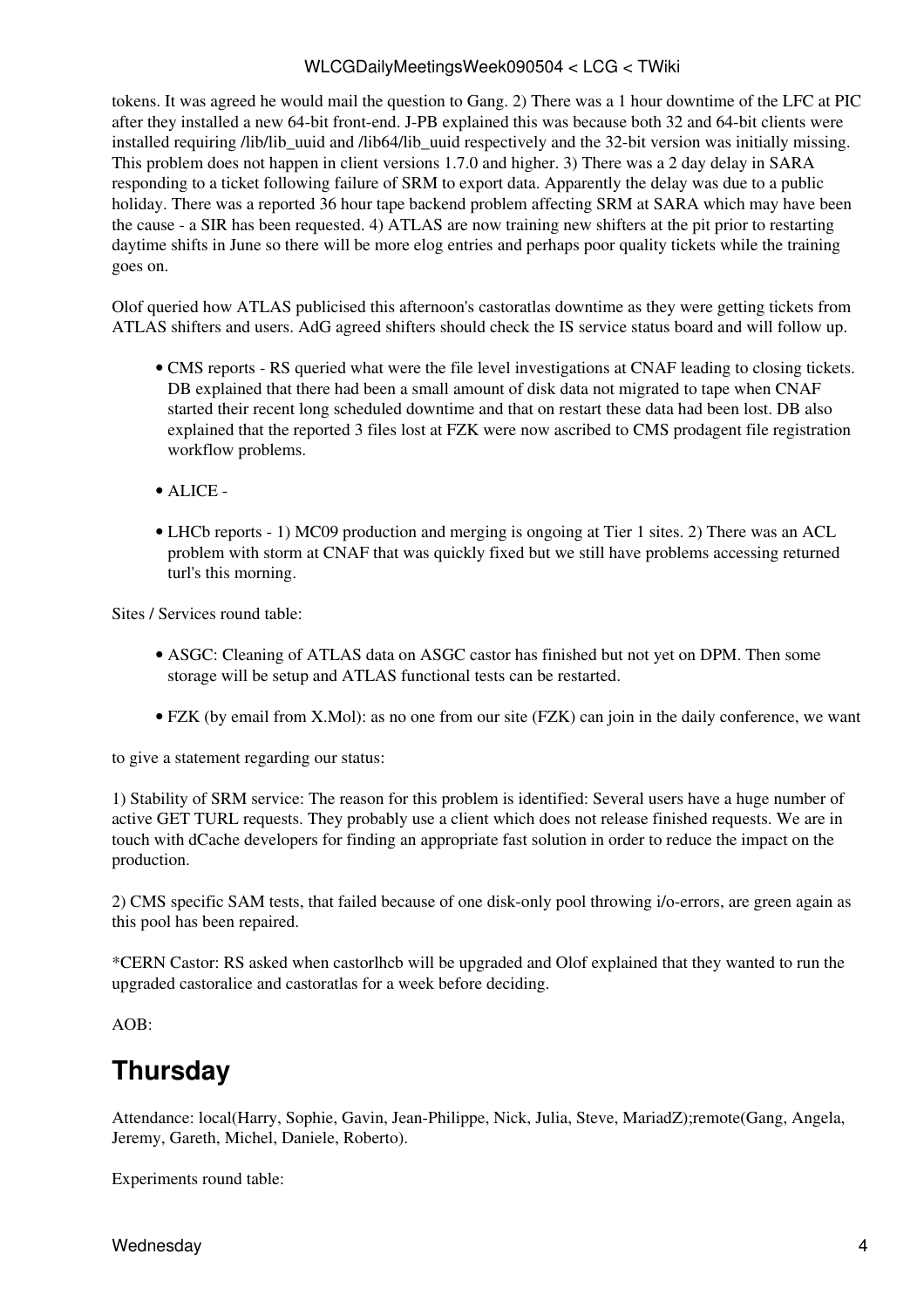#### WLCGDailyMeetingsWeek090504 < LCG < TWiki

tokens. It was agreed he would mail the question to Gang. 2) There was a 1 hour downtime of the LFC at PIC after they installed a new 64-bit front-end. J-PB explained this was because both 32 and 64-bit clients were installed requiring /lib/lib\_uuid and /lib64/lib\_uuid respectively and the 32-bit version was initially missing. This problem does not happen in client versions 1.7.0 and higher. 3) There was a 2 day delay in SARA responding to a ticket following failure of SRM to export data. Apparently the delay was due to a public holiday. There was a reported 36 hour tape backend problem affecting SRM at SARA which may have been the cause - a SIR has been requested. 4) ATLAS are now training new shifters at the pit prior to restarting daytime shifts in June so there will be more elog entries and perhaps poor quality tickets while the training goes on.

Olof queried how ATLAS publicised this afternoon's castoratlas downtime as they were getting tickets from ATLAS shifters and users. [AdG](https://twiki.cern.ch/twiki/bin/edit/LCG/AdG?topicparent=LCG.WLCGDailyMeetingsWeek090504;nowysiwyg=1) agreed shifters should check the IS service status board and will follow up.

- CMS [reports](https://twiki.cern.ch/twiki/bin/view/CMS/FacOps_WLCGdailyreports) RS queried what were the file level investigations at CNAF leading to closing tickets. DB explained that there had been a small amount of disk data not migrated to tape when CNAF started their recent long scheduled downtime and that on restart these data had been lost. DB also explained that the reported 3 files lost at FZK were now ascribed to CMS prodagent file registration workflow problems.
- ALICE -
- LHCb [reports](https://twiki.cern.ch/twiki/bin/view/LHCb/ProductionOperationsWLCGdailyReports)  1) MC09 production and merging is ongoing at Tier 1 sites. 2) There was an ACL problem with storm at CNAF that was quickly fixed but we still have problems accessing returned turl's this morning.

Sites / Services round table:

- ASGC: Cleaning of ATLAS data on ASGC castor has finished but not yet on DPM. Then some storage will be setup and ATLAS functional tests can be restarted.
- FZK (by email from X.Mol): as no one from our site (FZK) can join in the daily conference, we want

to give a statement regarding our status:

1) Stability of SRM service: The reason for this problem is identified: Several users have a huge number of active GET TURL requests. They probably use a client which does not release finished requests. We are in touch with dCache developers for finding an appropriate fast solution in order to reduce the impact on the production.

2) CMS specific SAM tests, that failed because of one disk-only pool throwing i/o-errors, are green again as this pool has been repaired.

\*CERN Castor: RS asked when castorlhcb will be upgraded and Olof explained that they wanted to run the upgraded castoralice and castoratlas for a week before deciding.

AOB:

#### <span id="page-4-0"></span>**Thursday**

Attendance: local(Harry, Sophie, Gavin, Jean-Philippe, Nick, Julia, Steve, [MariadZ\)](https://twiki.cern.ch/twiki/bin/edit/LCG/MariadZ?topicparent=LCG.WLCGDailyMeetingsWeek090504;nowysiwyg=1);remote(Gang, Angela, Jeremy, Gareth, Michel, Daniele, Roberto).

Experiments round table: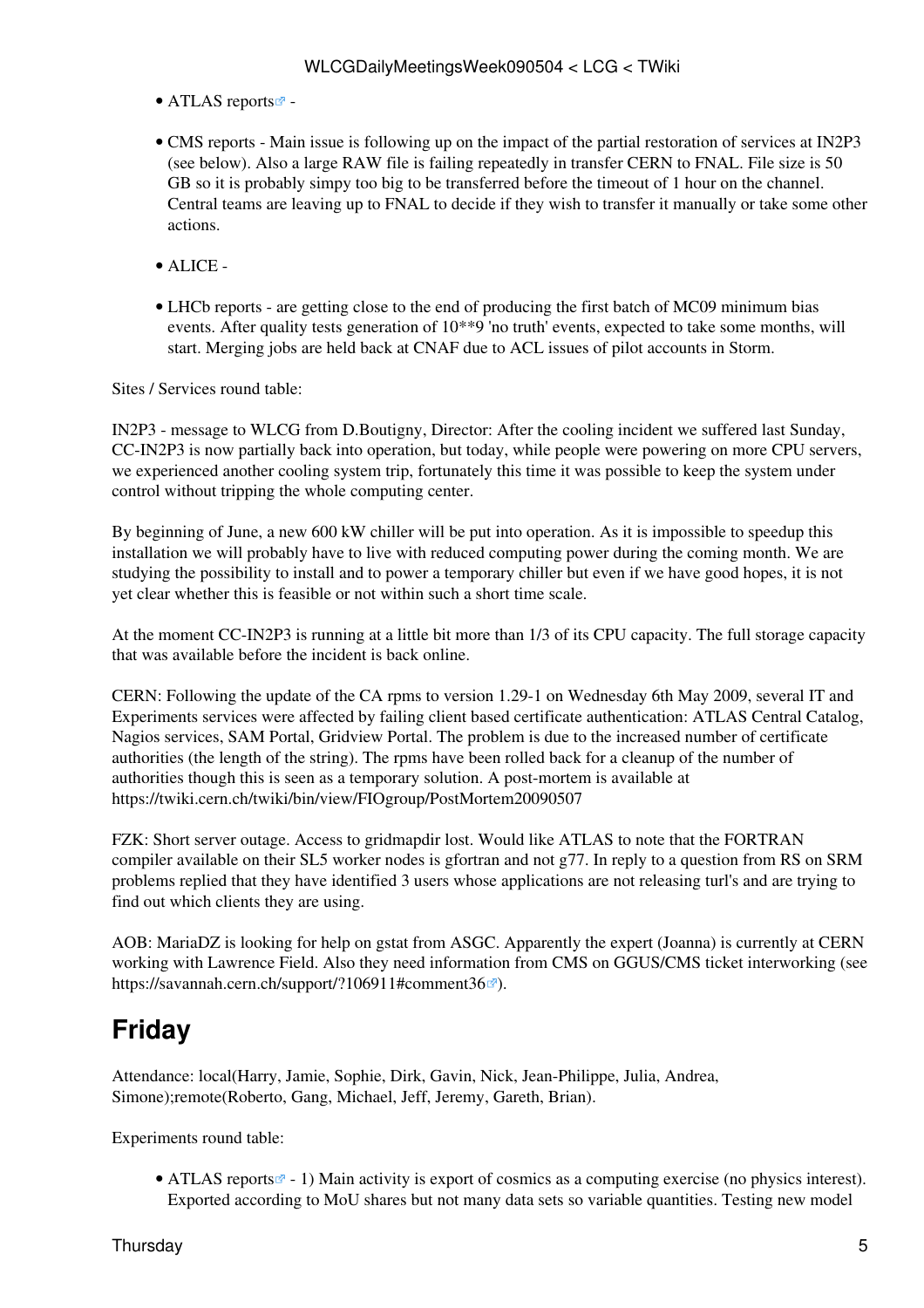- ATLAS [reports](http://lhcweb01.pic.es/atlas/Shift_Summaries/reports/?C=N;O=D) $\mathbb{F}$  -
- CMS [reports](https://twiki.cern.ch/twiki/bin/view/CMS/FacOps_WLCGdailyreports) Main issue is following up on the impact of the partial restoration of services at [IN2P3](https://twiki.cern.ch/twiki/bin/view/LCG/IN2P3) (see below). Also a large RAW file is failing repeatedly in transfer CERN to FNAL. File size is 50 GB so it is probably simpy too big to be transferred before the timeout of 1 hour on the channel. Central teams are leaving up to FNAL to decide if they wish to transfer it manually or take some other actions.
- ALICE -
- LHCb [reports](https://twiki.cern.ch/twiki/bin/view/LHCb/ProductionOperationsWLCGdailyReports)  are getting close to the end of producing the first batch of MC09 minimum bias events. After quality tests generation of 10\*\*9 'no truth' events, expected to take some months, will start. Merging jobs are held back at CNAF due to ACL issues of pilot accounts in Storm.

Sites / Services round table:

[IN2P3](https://twiki.cern.ch/twiki/bin/view/LCG/IN2P3) - message to WLCG from D.Boutigny, Director: After the cooling incident we suffered last Sunday, CC-IN2P3 is now partially back into operation, but today, while people were powering on more CPU servers, we experienced another cooling system trip, fortunately this time it was possible to keep the system under control without tripping the whole computing center.

By beginning of June, a new 600 kW chiller will be put into operation. As it is impossible to speedup this installation we will probably have to live with reduced computing power during the coming month. We are studying the possibility to install and to power a temporary chiller but even if we have good hopes, it is not yet clear whether this is feasible or not within such a short time scale.

At the moment CC-IN2P3 is running at a little bit more than 1/3 of its CPU capacity. The full storage capacity that was available before the incident is back online.

CERN: Following the update of the CA rpms to version 1.29-1 on Wednesday 6th May 2009, several IT and Experiments services were affected by failing client based certificate authentication: ATLAS Central Catalog, Nagios services, SAM Portal, Gridview Portal. The problem is due to the increased number of certificate authorities (the length of the string). The rpms have been rolled back for a cleanup of the number of authorities though this is seen as a temporary solution. A post-mortem is available at <https://twiki.cern.ch/twiki/bin/view/FIOgroup/PostMortem20090507>

FZK: Short server outage. Access to gridmapdir lost. Would like ATLAS to note that the FORTRAN compiler available on their SL5 worker nodes is gfortran and not g77. In reply to a question from RS on SRM problems replied that they have identified 3 users whose applications are not releasing turl's and are trying to find out which clients they are using.

AOB: [MariaDZ](https://twiki.cern.ch/twiki/bin/edit/LCG/MariaDZ?topicparent=LCG.WLCGDailyMeetingsWeek090504;nowysiwyg=1) is looking for help on gstat from ASGC. Apparently the expert (Joanna) is currently at CERN working with Lawrence Field. Also they need information from CMS on GGUS/CMS ticket interworking (see <https://savannah.cern.ch/support/?106911#comment36><sup>®</sup>).

## <span id="page-5-0"></span>**Friday**

Attendance: local(Harry, Jamie, Sophie, Dirk, Gavin, Nick, Jean-Philippe, Julia, Andrea, Simone);remote(Roberto, Gang, Michael, Jeff, Jeremy, Gareth, Brian).

Experiments round table:

• ATLAS [reports](http://lhcweb01.pic.es/atlas/Shift_Summaries/reports/?C=N;O=D)<sup>®</sup> - 1) Main activity is export of cosmics as a computing exercise (no physics interest). Exported according to [MoU](https://twiki.cern.ch/twiki/bin/view/LCG/MoU) shares but not many data sets so variable quantities. Testing new model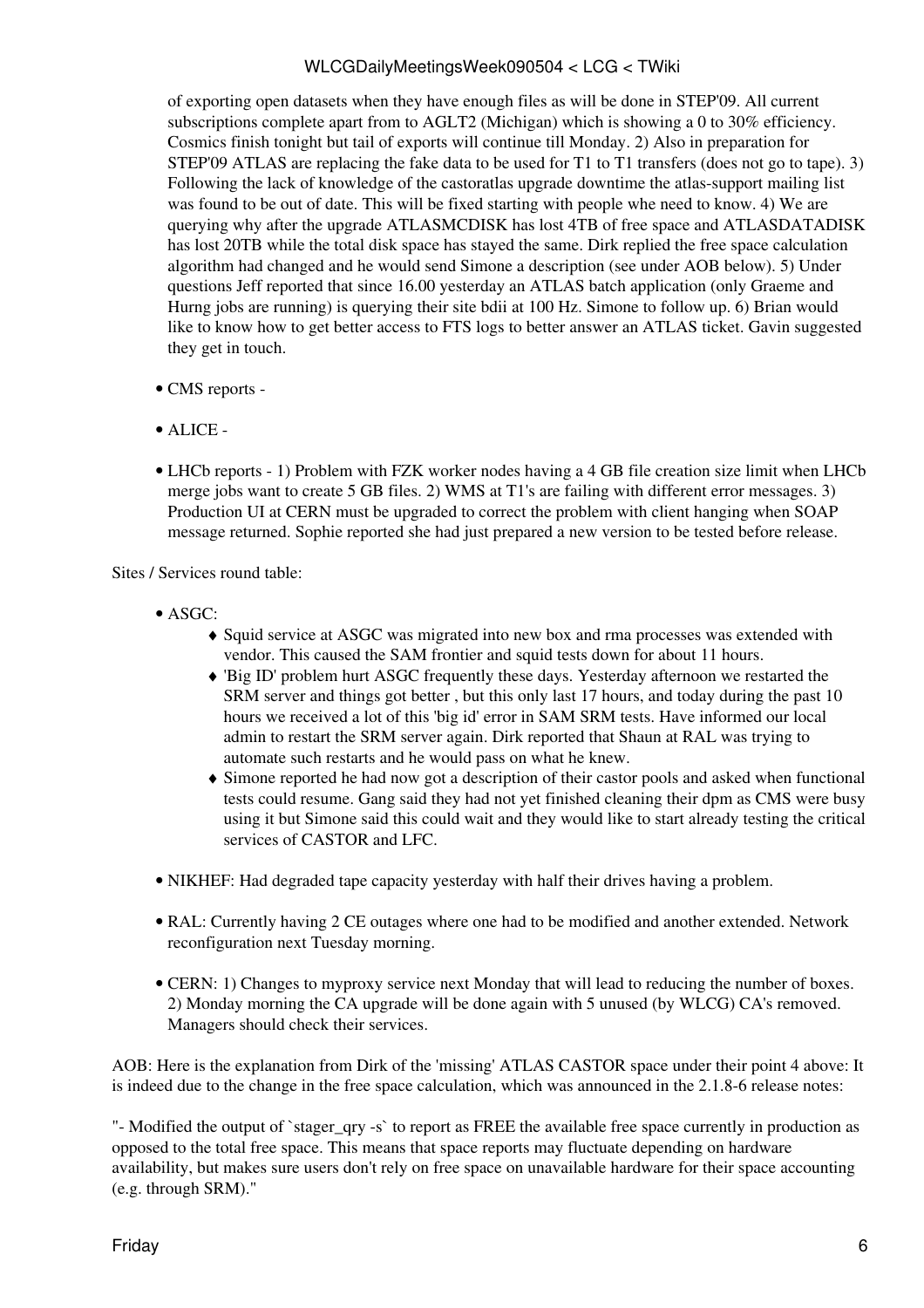#### WLCGDailyMeetingsWeek090504 < LCG < TWiki

of exporting open datasets when they have enough files as will be done in STEP'09. All current subscriptions complete apart from to AGLT2 (Michigan) which is showing a 0 to 30% efficiency. Cosmics finish tonight but tail of exports will continue till Monday. 2) Also in preparation for STEP'09 ATLAS are replacing the fake data to be used for T1 to T1 transfers (does not go to tape). 3) Following the lack of knowledge of the castoratlas upgrade downtime the atlas-support mailing list was found to be out of date. This will be fixed starting with people whe need to know. 4) We are querying why after the upgrade ATLASMCDISK has lost 4TB of free space and ATLASDATADISK has lost 20TB while the total disk space has stayed the same. Dirk replied the free space calculation algorithm had changed and he would send Simone a description (see under AOB below). 5) Under questions Jeff reported that since 16.00 yesterday an ATLAS batch application (only Graeme and Hurng jobs are running) is querying their site bdii at 100 Hz. Simone to follow up. 6) Brian would like to know how to get better access to FTS logs to better answer an ATLAS ticket. Gavin suggested they get in touch.

- CMS [reports](https://twiki.cern.ch/twiki/bin/view/CMS/FacOps_WLCGdailyreports) -
- ALICE -
- LHCb [reports](https://twiki.cern.ch/twiki/bin/view/LHCb/ProductionOperationsWLCGdailyReports)  1) Problem with FZK worker nodes having a 4 GB file creation size limit when LHCb merge jobs want to create 5 GB files. 2) WMS at T1's are failing with different error messages. 3) Production UI at CERN must be upgraded to correct the problem with client hanging when SOAP message returned. Sophie reported she had just prepared a new version to be tested before release.

Sites / Services round table:

- ASGC:
	- Squid service at ASGC was migrated into new box and rma processes was extended with ♦ vendor. This caused the SAM frontier and squid tests down for about 11 hours.
	- 'Big ID' problem hurt ASGC frequently these days. Yesterday afternoon we restarted the ♦ SRM server and things got better , but this only last 17 hours, and today during the past 10 hours we received a lot of this 'big id' error in SAM SRM tests. Have informed our local admin to restart the SRM server again. Dirk reported that Shaun at [RAL](https://twiki.cern.ch/twiki/bin/view/LCG/RAL) was trying to automate such restarts and he would pass on what he knew.
	- Simone reported he had now got a description of their castor pools and asked when functional ♦ tests could resume. Gang said they had not yet finished cleaning their dpm as CMS were busy using it but Simone said this could wait and they would like to start already testing the critical services of CASTOR and LFC.
- NIKHEF: Had degraded tape capacity yesterday with half their drives having a problem.
- [RAL](https://twiki.cern.ch/twiki/bin/view/LCG/RAL): Currently having 2 CE outages where one had to be modified and another extended. Network reconfiguration next Tuesday morning.
- CERN: 1) Changes to myproxy service next Monday that will lead to reducing the number of boxes. 2) Monday morning the CA upgrade will be done again with 5 unused (by WLCG) CA's removed. Managers should check their services.

AOB: Here is the explanation from Dirk of the 'missing' ATLAS CASTOR space under their point 4 above: It is indeed due to the change in the free space calculation, which was announced in the 2.1.8-6 release notes:

"- Modified the output of `stager\_qry -s` to report as FREE the available free space currently in production as opposed to the total free space. This means that space reports may fluctuate depending on hardware availability, but makes sure users don't rely on free space on unavailable hardware for their space accounting (e.g. through SRM)."